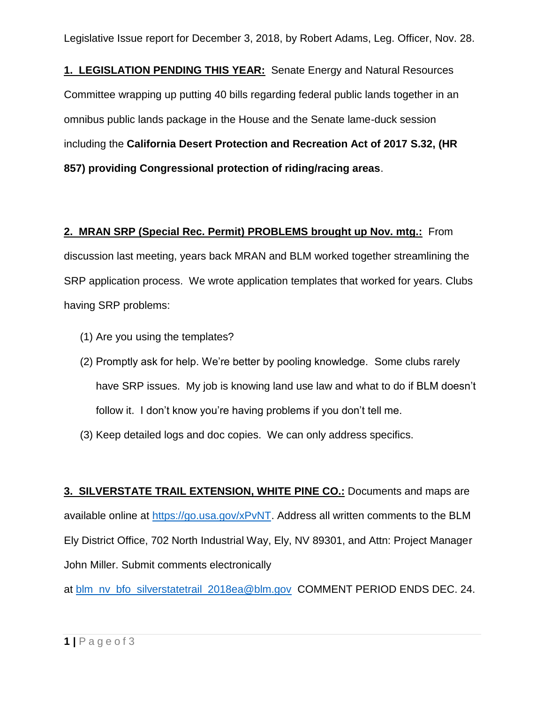Legislative Issue report for December 3, 2018, by Robert Adams, Leg. Officer, Nov. 28.

**1. LEGISLATION PENDING THIS YEAR:** Senate Energy and Natural Resources Committee wrapping up putting 40 bills regarding federal public lands together in an omnibus public lands package in the House and the Senate lame-duck session including the **California Desert Protection and Recreation Act of 2017 S.32, (HR 857) providing Congressional protection of riding/racing areas**.

## **2. MRAN SRP (Special Rec. Permit) PROBLEMS brought up Nov. mtg.:** From

discussion last meeting, years back MRAN and BLM worked together streamlining the SRP application process. We wrote application templates that worked for years. Clubs having SRP problems:

- (1) Are you using the templates?
- (2) Promptly ask for help. We're better by pooling knowledge. Some clubs rarely have SRP issues. My job is knowing land use law and what to do if BLM doesn't follow it. I don't know you're having problems if you don't tell me.
- (3) Keep detailed logs and doc copies. We can only address specifics.

**3. SILVERSTATE TRAIL EXTENSION, WHITE PINE CO.:** Documents and maps are available online at [https://go.usa.gov/xPvNT.](https://go.usa.gov/xPvNT) Address all written comments to the BLM Ely District Office, 702 North Industrial Way, Ely, NV 89301, and Attn: Project Manager John Miller. Submit comments electronically

at [blm\\_nv\\_bfo\\_silverstatetrail\\_2018ea@blm.gov](mailto:blm_nv_bfo_silverstatetrail_2018ea@blm.gov) COMMENT PERIOD ENDS DEC. 24.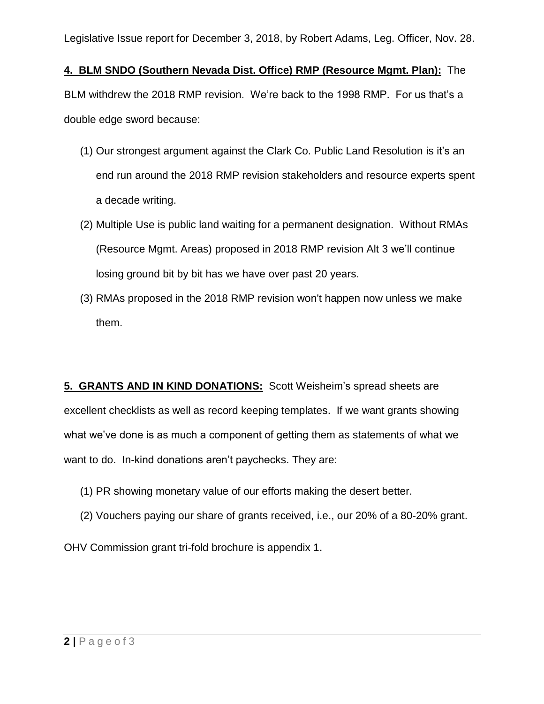Legislative Issue report for December 3, 2018, by Robert Adams, Leg. Officer, Nov. 28.

**4. BLM SNDO (Southern Nevada Dist. Office) RMP (Resource Mgmt. Plan):** The BLM withdrew the 2018 RMP revision. We're back to the 1998 RMP. For us that's a double edge sword because:

- (1) Our strongest argument against the Clark Co. Public Land Resolution is it's an end run around the 2018 RMP revision stakeholders and resource experts spent a decade writing.
- (2) Multiple Use is public land waiting for a permanent designation. Without RMAs (Resource Mgmt. Areas) proposed in 2018 RMP revision Alt 3 we'll continue losing ground bit by bit has we have over past 20 years.
- (3) RMAs proposed in the 2018 RMP revision won't happen now unless we make them.

**5. GRANTS AND IN KIND DONATIONS:** Scott Weisheim's spread sheets are excellent checklists as well as record keeping templates. If we want grants showing what we've done is as much a component of getting them as statements of what we want to do. In-kind donations aren't paychecks. They are:

- (1) PR showing monetary value of our efforts making the desert better.
- (2) Vouchers paying our share of grants received, i.e., our 20% of a 80-20% grant.

OHV Commission grant tri-fold brochure is appendix 1.